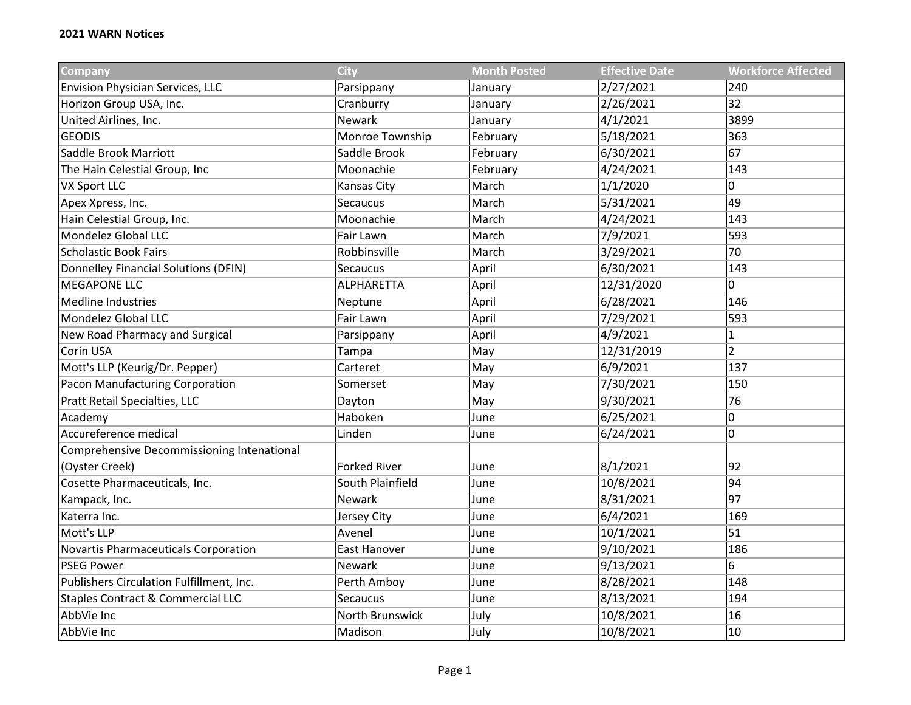| Company                                      | <b>City</b>         | <b>Month Posted</b> | <b>Effective Date</b> | <b>Workforce Affected</b> |
|----------------------------------------------|---------------------|---------------------|-----------------------|---------------------------|
| <b>Envision Physician Services, LLC</b>      | Parsippany          | January             | 2/27/2021             | 240                       |
| Horizon Group USA, Inc.                      | Cranburry           | January             | 2/26/2021             | 32                        |
| United Airlines, Inc.                        | Newark              | January             | 4/1/2021              | 3899                      |
| <b>GEODIS</b>                                | Monroe Township     | February            | 5/18/2021             | 363                       |
| Saddle Brook Marriott                        | Saddle Brook        | February            | 6/30/2021             | 67                        |
| The Hain Celestial Group, Inc                | Moonachie           | February            | 4/24/2021             | 143                       |
| <b>VX Sport LLC</b>                          | Kansas City         | March               | 1/1/2020              | 0                         |
| Apex Xpress, Inc.                            | Secaucus            | March               | 5/31/2021             | 49                        |
| Hain Celestial Group, Inc.                   | Moonachie           | March               | 4/24/2021             | 143                       |
| Mondelez Global LLC                          | Fair Lawn           | March               | 7/9/2021              | 593                       |
| <b>Scholastic Book Fairs</b>                 | Robbinsville        | March               | 3/29/2021             | 70                        |
| Donnelley Financial Solutions (DFIN)         | Secaucus            | April               | 6/30/2021             | 143                       |
| <b>MEGAPONE LLC</b>                          | <b>ALPHARETTA</b>   | April               | 12/31/2020            | 0                         |
| <b>Medline Industries</b>                    | Neptune             | April               | 6/28/2021             | 146                       |
| Mondelez Global LLC                          | Fair Lawn           | April               | 7/29/2021             | 593                       |
| New Road Pharmacy and Surgical               | Parsippany          | April               | 4/9/2021              | $\mathbf{1}$              |
| Corin USA                                    | Tampa               | May                 | 12/31/2019            | $\overline{2}$            |
| Mott's LLP (Keurig/Dr. Pepper)               | Carteret            | May                 | 6/9/2021              | 137                       |
| Pacon Manufacturing Corporation              | Somerset            | May                 | 7/30/2021             | 150                       |
| Pratt Retail Specialties, LLC                | Dayton              | May                 | 9/30/2021             | 76                        |
| Academy                                      | Haboken             | June                | 6/25/2021             | $\pmb{0}$                 |
| Accureference medical                        | Linden              | June                | 6/24/2021             | 0                         |
| Comprehensive Decommissioning Intenational   |                     |                     |                       |                           |
| (Oyster Creek)                               | <b>Forked River</b> | June                | 8/1/2021              | 92                        |
| Cosette Pharmaceuticals, Inc.                | South Plainfield    | June                | 10/8/2021             | 94                        |
| Kampack, Inc.                                | Newark              | June                | 8/31/2021             | 97                        |
| Katerra Inc.                                 | Jersey City         | June                | 6/4/2021              | 169                       |
| Mott's LLP                                   | Avenel              | June                | 10/1/2021             | 51                        |
| <b>Novartis Pharmaceuticals Corporation</b>  | East Hanover        | June                | 9/10/2021             | 186                       |
| <b>PSEG Power</b>                            | Newark              | June                | 9/13/2021             | 6                         |
| Publishers Circulation Fulfillment, Inc.     | Perth Amboy         | June                | 8/28/2021             | 148                       |
| <b>Staples Contract &amp; Commercial LLC</b> | Secaucus            | June                | 8/13/2021             | 194                       |
| AbbVie Inc                                   | North Brunswick     | July                | 10/8/2021             | 16                        |
| AbbVie Inc                                   | Madison             | July                | 10/8/2021             | 10                        |